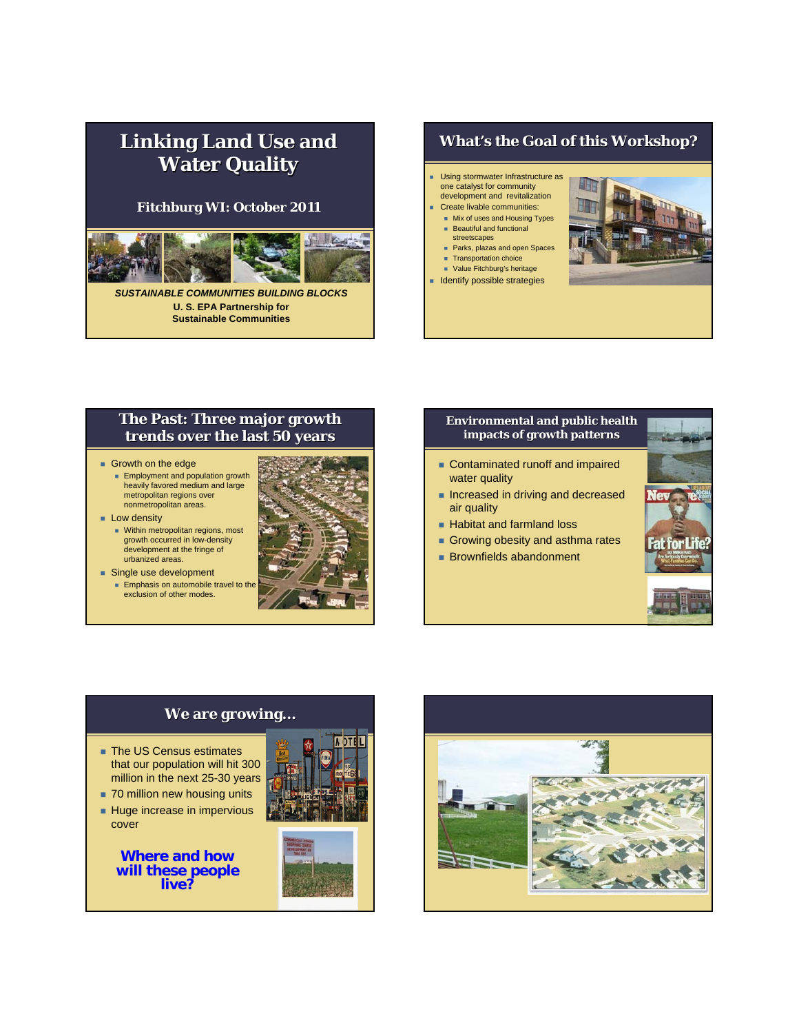# **Linking Land Use and Water Quality Water Quality**

### **Fitchburg WI: October 2011**



*SUSTAINABLE COMMUNITIES BUILDING BLOCKS* **U. S. EPA Partnership for Sustainable Communities** 

## **What's the Goal of this Workshop?**

- Using stormwater Infrastructure as one catalyst for community
- development and revitalization Create livable communities:
- **Mix of uses and Housing Types** Beautiful and functional
- streetscapes **Parks, plazas and open Spaces**
- **Transportation choice Value Fitchburg's heritage**
- **I**dentify possible strategies



## **The Past: Three major growth The Past: Three major growth trends over the last 50 years trends over the last 50 years**

- Growth on the edge
	- **Employment and population growth** heavily favored medium and large metropolitan regions over nonmetropolitan areas.

#### **Low density**

- **Nithin metropolitan regions, most** growth occurred in low-density development at the fringe of urbanized areas.
- Single use development **Emphasis on automobile travel to the** 
	- exclusion of other modes.



#### **Environmental and public health Environmental and public health impacts of growth patterns**

- **Contaminated runoff and impaired** water quality
- **Increased in driving and decreased** air quality
- **Habitat and farmland loss**
- Growing obesity and asthma rates
- **Brownfields abandonment**



## ■ The US Census estimates that our population will hit 300 million in the next 25-30 years

**We are growing…**

- 70 million new housing units
- Huge increase in impervious cover

**Where and how will these people live?**